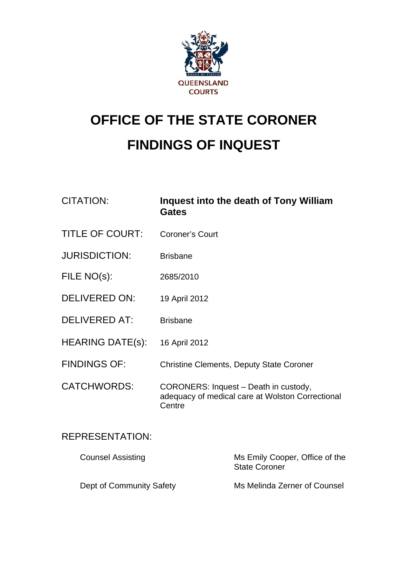

# **OFFICE OF THE STATE CORONER FINDINGS OF INQUEST**

| <b>CITATION:</b>         | <b>Gates</b>                                                                                        | Inquest into the death of Tony William                 |
|--------------------------|-----------------------------------------------------------------------------------------------------|--------------------------------------------------------|
| <b>TITLE OF COURT:</b>   | <b>Coroner's Court</b>                                                                              |                                                        |
| <b>JURISDICTION:</b>     | <b>Brisbane</b>                                                                                     |                                                        |
| FILE NO(s):              | 2685/2010                                                                                           |                                                        |
| <b>DELIVERED ON:</b>     | 19 April 2012                                                                                       |                                                        |
| <b>DELIVERED AT:</b>     | <b>Brisbane</b>                                                                                     |                                                        |
| <b>HEARING DATE(s):</b>  | 16 April 2012                                                                                       |                                                        |
| <b>FINDINGS OF:</b>      | <b>Christine Clements, Deputy State Coroner</b>                                                     |                                                        |
| <b>CATCHWORDS:</b>       | CORONERS: Inquest - Death in custody,<br>adequacy of medical care at Wolston Correctional<br>Centre |                                                        |
| <b>REPRESENTATION:</b>   |                                                                                                     |                                                        |
| <b>Counsel Assisting</b> |                                                                                                     | Ms Emily Cooper, Office of the<br><b>State Coroner</b> |
| Dept of Community Safety |                                                                                                     | Ms Melinda Zerner of Counsel                           |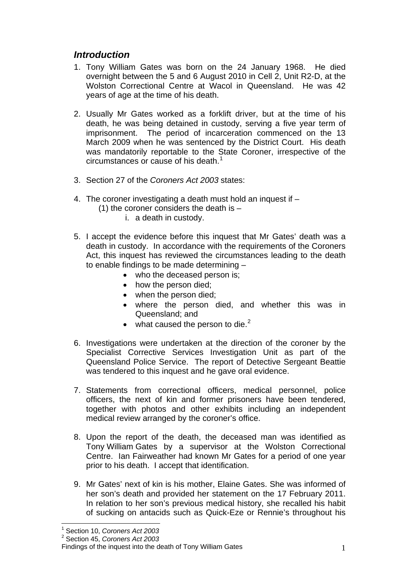## *Introduction*

- 1. Tony William Gates was born on the 24 January 1968. He died overnight between the 5 and 6 August 2010 in Cell 2, Unit R2-D, at the Wolston Correctional Centre at Wacol in Queensland. He was 42 years of age at the time of his death.
- 2. Usually Mr Gates worked as a forklift driver, but at the time of his death, he was being detained in custody, serving a five year term of imprisonment. The period of incarceration commenced on the 13 March 2009 when he was sentenced by the District Court. His death was mandatorily reportable to the State Coroner, irrespective of the circumstances or cause of his death.<sup>[1](#page-1-0)</sup>
- 3. Section 27 of the *Coroners Act 2003* states:
- 4. The coroner investigating a death must hold an inquest if
	- (1) the coroner considers the death is  $$ 
		- i. a death in custody.
- 5. I accept the evidence before this inquest that Mr Gates' death was a death in custody. In accordance with the requirements of the Coroners Act, this inquest has reviewed the circumstances leading to the death to enable findings to be made determining –
	- who the deceased person is:
	- how the person died;
	- when the person died:
	- where the person died, and whether this was in Queensland; and
	- what caused the person to die. $^2$  $^2$
- 6. Investigations were undertaken at the direction of the coroner by the Specialist Corrective Services Investigation Unit as part of the Queensland Police Service. The report of Detective Sergeant Beattie was tendered to this inquest and he gave oral evidence.
- 7. Statements from correctional officers, medical personnel, police officers, the next of kin and former prisoners have been tendered, together with photos and other exhibits including an independent medical review arranged by the coroner's office.
- 8. Upon the report of the death, the deceased man was identified as Tony William Gates by a supervisor at the Wolston Correctional Centre. Ian Fairweather had known Mr Gates for a period of one year prior to his death. I accept that identification.
- 9. Mr Gates' next of kin is his mother, Elaine Gates. She was informed of her son's death and provided her statement on the 17 February 2011. In relation to her son's previous medical history, she recalled his habit of sucking on antacids such as Quick-Eze or Rennie's throughout his

 $\overline{a}$ 

<span id="page-1-0"></span><sup>1</sup> Section 10, *Coroners Act 2003*

<sup>2</sup> Section 45, *Coroners Act 2003*

<span id="page-1-1"></span>Findings of the inquest into the death of Tony William Gates 1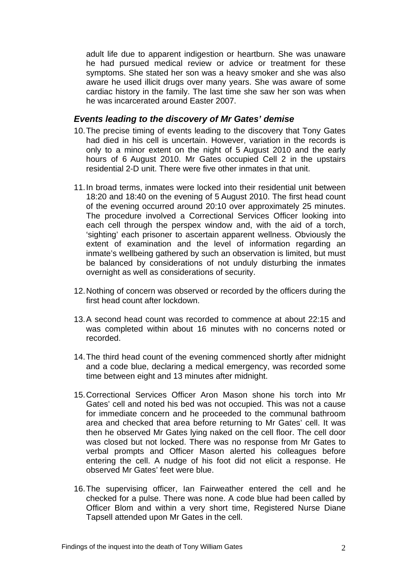adult life due to apparent indigestion or heartburn. She was unaware he had pursued medical review or advice or treatment for these symptoms. She stated her son was a heavy smoker and she was also aware he used illicit drugs over many years. She was aware of some cardiac history in the family. The last time she saw her son was when he was incarcerated around Easter 2007.

## *Events leading to the discovery of Mr Gates' demise*

- 10. The precise timing of events leading to the discovery that Tony Gates had died in his cell is uncertain. However, variation in the records is only to a minor extent on the night of 5 August 2010 and the early hours of 6 August 2010. Mr Gates occupied Cell 2 in the upstairs residential 2-D unit. There were five other inmates in that unit.
- 11. In broad terms, inmates were locked into their residential unit between 18:20 and 18:40 on the evening of 5 August 2010. The first head count of the evening occurred around 20:10 over approximately 25 minutes. The procedure involved a Correctional Services Officer looking into each cell through the perspex window and, with the aid of a torch, 'sighting' each prisoner to ascertain apparent wellness. Obviously the extent of examination and the level of information regarding an inmate's wellbeing gathered by such an observation is limited, but must be balanced by considerations of not unduly disturbing the inmates overnight as well as considerations of security.
- 12. Nothing of concern was observed or recorded by the officers during the first head count after lockdown.
- 13. A second head count was recorded to commence at about 22:15 and was completed within about 16 minutes with no concerns noted or recorded.
- 14. The third head count of the evening commenced shortly after midnight and a code blue, declaring a medical emergency, was recorded some time between eight and 13 minutes after midnight.
- 15. Correctional Services Officer Aron Mason shone his torch into Mr Gates' cell and noted his bed was not occupied. This was not a cause for immediate concern and he proceeded to the communal bathroom area and checked that area before returning to Mr Gates' cell. It was then he observed Mr Gates lying naked on the cell floor. The cell door was closed but not locked. There was no response from Mr Gates to verbal prompts and Officer Mason alerted his colleagues before entering the cell. A nudge of his foot did not elicit a response. He observed Mr Gates' feet were blue.
- 16. The supervising officer, Ian Fairweather entered the cell and he checked for a pulse. There was none. A code blue had been called by Officer Blom and within a very short time, Registered Nurse Diane Tapsell attended upon Mr Gates in the cell.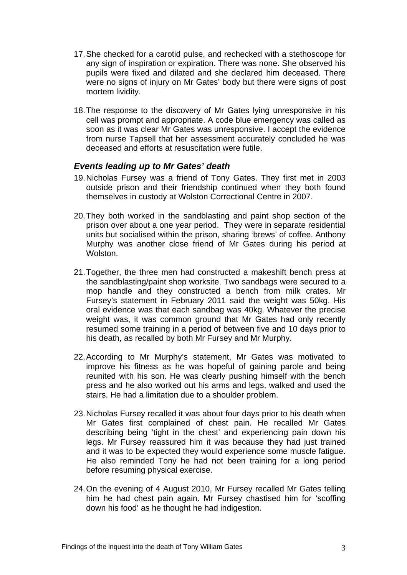- 17. She checked for a carotid pulse, and rechecked with a stethoscope for any sign of inspiration or expiration. There was none. She observed his pupils were fixed and dilated and she declared him deceased. There were no signs of injury on Mr Gates' body but there were signs of post mortem lividity.
- 18. The response to the discovery of Mr Gates lying unresponsive in his cell was prompt and appropriate. A code blue emergency was called as soon as it was clear Mr Gates was unresponsive. I accept the evidence from nurse Tapsell that her assessment accurately concluded he was deceased and efforts at resuscitation were futile.

## *Events leading up to Mr Gates' death*

- 19. Nicholas Fursey was a friend of Tony Gates. They first met in 2003 outside prison and their friendship continued when they both found themselves in custody at Wolston Correctional Centre in 2007.
- 20. They both worked in the sandblasting and paint shop section of the prison over about a one year period. They were in separate residential units but socialised within the prison, sharing 'brews' of coffee. Anthony Murphy was another close friend of Mr Gates during his period at **Wolston**
- 21. Together, the three men had constructed a makeshift bench press at the sandblasting/paint shop worksite. Two sandbags were secured to a mop handle and they constructed a bench from milk crates. Mr Fursey's statement in February 2011 said the weight was 50kg. His oral evidence was that each sandbag was 40kg. Whatever the precise weight was, it was common ground that Mr Gates had only recently resumed some training in a period of between five and 10 days prior to his death, as recalled by both Mr Fursey and Mr Murphy.
- 22. According to Mr Murphy's statement, Mr Gates was motivated to improve his fitness as he was hopeful of gaining parole and being reunited with his son. He was clearly pushing himself with the bench press and he also worked out his arms and legs, walked and used the stairs. He had a limitation due to a shoulder problem.
- 23. Nicholas Fursey recalled it was about four days prior to his death when Mr Gates first complained of chest pain. He recalled Mr Gates describing being 'tight in the chest' and experiencing pain down his legs. Mr Fursey reassured him it was because they had just trained and it was to be expected they would experience some muscle fatigue. He also reminded Tony he had not been training for a long period before resuming physical exercise.
- 24. On the evening of 4 August 2010, Mr Fursey recalled Mr Gates telling him he had chest pain again. Mr Fursey chastised him for 'scoffing down his food' as he thought he had indigestion.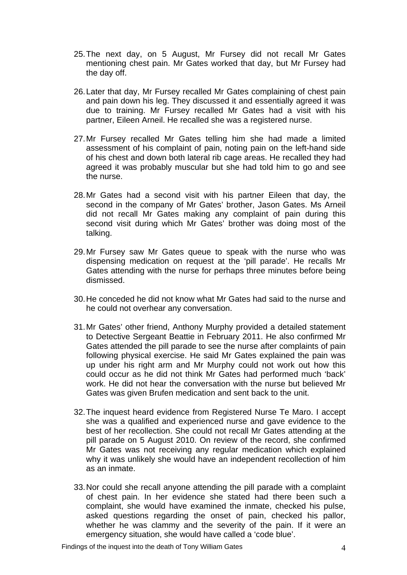- 25. The next day, on 5 August, Mr Fursey did not recall Mr Gates mentioning chest pain. Mr Gates worked that day, but Mr Fursey had the day off.
- 26. Later that day, Mr Fursey recalled Mr Gates complaining of chest pain and pain down his leg. They discussed it and essentially agreed it was due to training. Mr Fursey recalled Mr Gates had a visit with his partner, Eileen Arneil. He recalled she was a registered nurse.
- 27. Mr Fursey recalled Mr Gates telling him she had made a limited assessment of his complaint of pain, noting pain on the left-hand side of his chest and down both lateral rib cage areas. He recalled they had agreed it was probably muscular but she had told him to go and see the nurse.
- 28. Mr Gates had a second visit with his partner Eileen that day, the second in the company of Mr Gates' brother, Jason Gates. Ms Arneil did not recall Mr Gates making any complaint of pain during this second visit during which Mr Gates' brother was doing most of the talking.
- 29. Mr Fursey saw Mr Gates queue to speak with the nurse who was dispensing medication on request at the 'pill parade'. He recalls Mr Gates attending with the nurse for perhaps three minutes before being dismissed.
- 30. He conceded he did not know what Mr Gates had said to the nurse and he could not overhear any conversation.
- 31. Mr Gates' other friend, Anthony Murphy provided a detailed statement to Detective Sergeant Beattie in February 2011. He also confirmed Mr Gates attended the pill parade to see the nurse after complaints of pain following physical exercise. He said Mr Gates explained the pain was up under his right arm and Mr Murphy could not work out how this could occur as he did not think Mr Gates had performed much 'back' work. He did not hear the conversation with the nurse but believed Mr Gates was given Brufen medication and sent back to the unit.
- 32. The inquest heard evidence from Registered Nurse Te Maro. I accept she was a qualified and experienced nurse and gave evidence to the best of her recollection. She could not recall Mr Gates attending at the pill parade on 5 August 2010. On review of the record, she confirmed Mr Gates was not receiving any regular medication which explained why it was unlikely she would have an independent recollection of him as an inmate.
- 33. Nor could she recall anyone attending the pill parade with a complaint of chest pain. In her evidence she stated had there been such a complaint, she would have examined the inmate, checked his pulse, asked questions regarding the onset of pain, checked his pallor, whether he was clammy and the severity of the pain. If it were an emergency situation, she would have called a 'code blue'.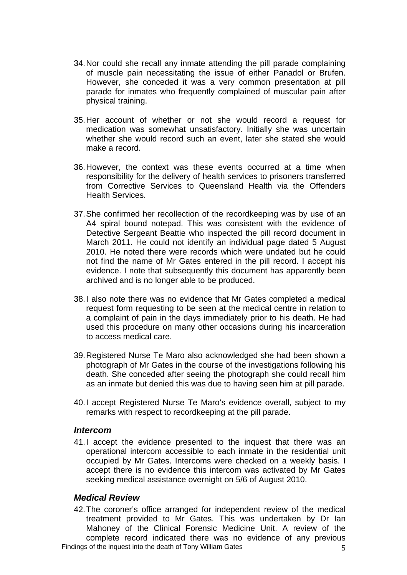- 34. Nor could she recall any inmate attending the pill parade complaining of muscle pain necessitating the issue of either Panadol or Brufen. However, she conceded it was a very common presentation at pill parade for inmates who frequently complained of muscular pain after physical training.
- 35. Her account of whether or not she would record a request for medication was somewhat unsatisfactory. Initially she was uncertain whether she would record such an event, later she stated she would make a record.
- 36. However, the context was these events occurred at a time when responsibility for the delivery of health services to prisoners transferred from Corrective Services to Queensland Health via the Offenders Health Services.
- 37. She confirmed her recollection of the recordkeeping was by use of an A4 spiral bound notepad. This was consistent with the evidence of Detective Sergeant Beattie who inspected the pill record document in March 2011. He could not identify an individual page dated 5 August 2010. He noted there were records which were undated but he could not find the name of Mr Gates entered in the pill record. I accept his evidence. I note that subsequently this document has apparently been archived and is no longer able to be produced.
- 38. I also note there was no evidence that Mr Gates completed a medical request form requesting to be seen at the medical centre in relation to a complaint of pain in the days immediately prior to his death. He had used this procedure on many other occasions during his incarceration to access medical care.
- 39. Registered Nurse Te Maro also acknowledged she had been shown a photograph of Mr Gates in the course of the investigations following his death. She conceded after seeing the photograph she could recall him as an inmate but denied this was due to having seen him at pill parade.
- 40. I accept Registered Nurse Te Maro's evidence overall, subject to my remarks with respect to recordkeeping at the pill parade.

#### *Intercom*

41. I accept the evidence presented to the inquest that there was an operational intercom accessible to each inmate in the residential unit occupied by Mr Gates. Intercoms were checked on a weekly basis. I accept there is no evidence this intercom was activated by Mr Gates seeking medical assistance overnight on 5/6 of August 2010.

## *Medical Review*

Findings of the inquest into the death of Tony William Gates 5 42. The coroner's office arranged for independent review of the medical treatment provided to Mr Gates. This was undertaken by Dr Ian Mahoney of the Clinical Forensic Medicine Unit. A review of the complete record indicated there was no evidence of any previous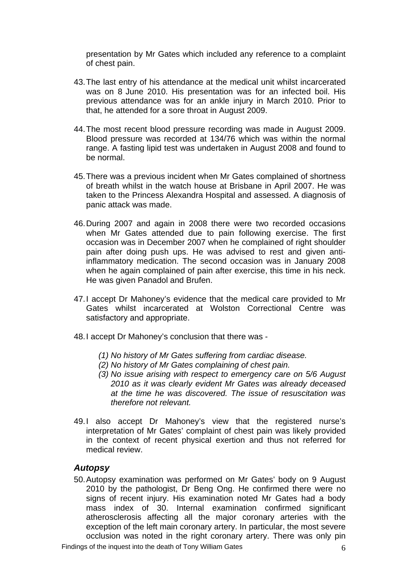presentation by Mr Gates which included any reference to a complaint of chest pain.

- 43. The last entry of his attendance at the medical unit whilst incarcerated was on 8 June 2010. His presentation was for an infected boil. His previous attendance was for an ankle injury in March 2010. Prior to that, he attended for a sore throat in August 2009.
- 44. The most recent blood pressure recording was made in August 2009. Blood pressure was recorded at 134/76 which was within the normal range. A fasting lipid test was undertaken in August 2008 and found to be normal.
- 45. There was a previous incident when Mr Gates complained of shortness of breath whilst in the watch house at Brisbane in April 2007. He was taken to the Princess Alexandra Hospital and assessed. A diagnosis of panic attack was made.
- 46. During 2007 and again in 2008 there were two recorded occasions when Mr Gates attended due to pain following exercise. The first occasion was in December 2007 when he complained of right shoulder pain after doing push ups. He was advised to rest and given antiinflammatory medication. The second occasion was in January 2008 when he again complained of pain after exercise, this time in his neck. He was given Panadol and Brufen.
- 47. I accept Dr Mahoney's evidence that the medical care provided to Mr Gates whilst incarcerated at Wolston Correctional Centre was satisfactory and appropriate.
- 48. I accept Dr Mahoney's conclusion that there was
	- *(1) No history of Mr Gates suffering from cardiac disease.*
	- *(2) No history of Mr Gates complaining of chest pain.*
	- *(3) No issue arising with respect to emergency care on 5/6 August 2010 as it was clearly evident Mr Gates was already deceased at the time he was discovered. The issue of resuscitation was therefore not relevant.*
- 49.I also accept Dr Mahoney's view that the registered nurse's interpretation of Mr Gates' complaint of chest pain was likely provided in the context of recent physical exertion and thus not referred for medical review.

#### *Autopsy*

50. Autopsy examination was performed on Mr Gates' body on 9 August 2010 by the pathologist, Dr Beng Ong. He confirmed there were no signs of recent injury. His examination noted Mr Gates had a body mass index of 30. Internal examination confirmed significant atherosclerosis affecting all the major coronary arteries with the exception of the left main coronary artery. In particular, the most severe occlusion was noted in the right coronary artery. There was only pin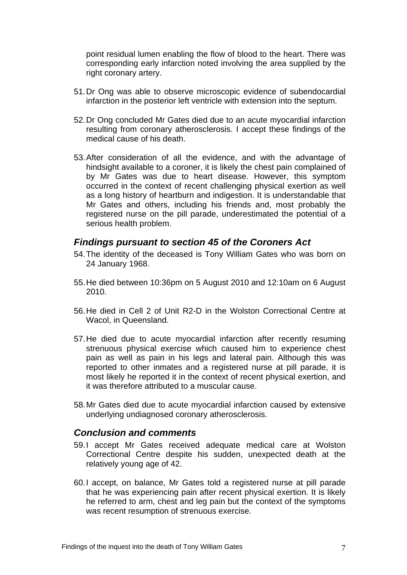point residual lumen enabling the flow of blood to the heart. There was corresponding early infarction noted involving the area supplied by the right coronary artery.

- 51. Dr Ong was able to observe microscopic evidence of subendocardial infarction in the posterior left ventricle with extension into the septum.
- 52. Dr Ong concluded Mr Gates died due to an acute myocardial infarction resulting from coronary atherosclerosis. I accept these findings of the medical cause of his death.
- 53. After consideration of all the evidence, and with the advantage of hindsight available to a coroner, it is likely the chest pain complained of by Mr Gates was due to heart disease. However, this symptom occurred in the context of recent challenging physical exertion as well as a long history of heartburn and indigestion. It is understandable that Mr Gates and others, including his friends and, most probably the registered nurse on the pill parade, underestimated the potential of a serious health problem.

## *Findings pursuant to section 45 of the Coroners Act*

- 54. The identity of the deceased is Tony William Gates who was born on 24 January 1968.
- 55. He died between 10:36pm on 5 August 2010 and 12:10am on 6 August 2010.
- 56. He died in Cell 2 of Unit R2-D in the Wolston Correctional Centre at Wacol, in Queensland.
- 57. He died due to acute myocardial infarction after recently resuming strenuous physical exercise which caused him to experience chest pain as well as pain in his legs and lateral pain. Although this was reported to other inmates and a registered nurse at pill parade, it is most likely he reported it in the context of recent physical exertion, and it was therefore attributed to a muscular cause.
- 58. Mr Gates died due to acute myocardial infarction caused by extensive underlying undiagnosed coronary atherosclerosis.

## *Conclusion and comments*

- 59. I accept Mr Gates received adequate medical care at Wolston Correctional Centre despite his sudden, unexpected death at the relatively young age of 42.
- 60. I accept, on balance, Mr Gates told a registered nurse at pill parade that he was experiencing pain after recent physical exertion. It is likely he referred to arm, chest and leg pain but the context of the symptoms was recent resumption of strenuous exercise.